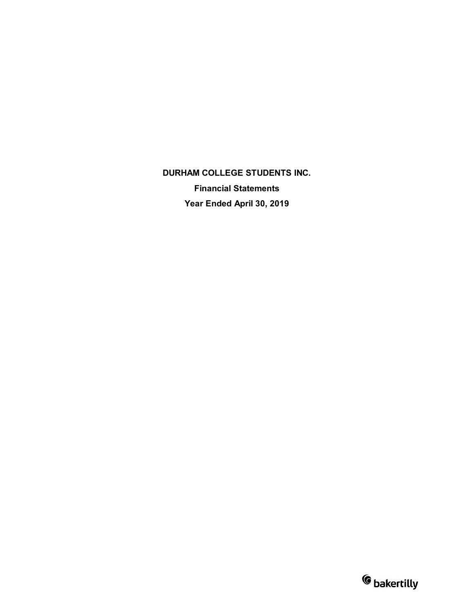**DURHAM COLLEGE STUDENTS INC. Financial Statements Year Ended April 30, 2019**

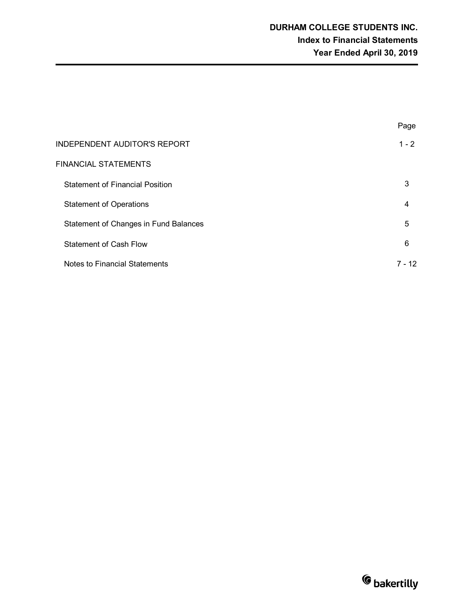|                                        | Page    |
|----------------------------------------|---------|
| <b>INDEPENDENT AUDITOR'S REPORT</b>    | $1 - 2$ |
| <b>FINANCIAL STATEMENTS</b>            |         |
| <b>Statement of Financial Position</b> | 3       |
| <b>Statement of Operations</b>         | 4       |
| Statement of Changes in Fund Balances  | 5       |
| <b>Statement of Cash Flow</b>          | 6       |
| Notes to Financial Statements          | 7 - 12  |

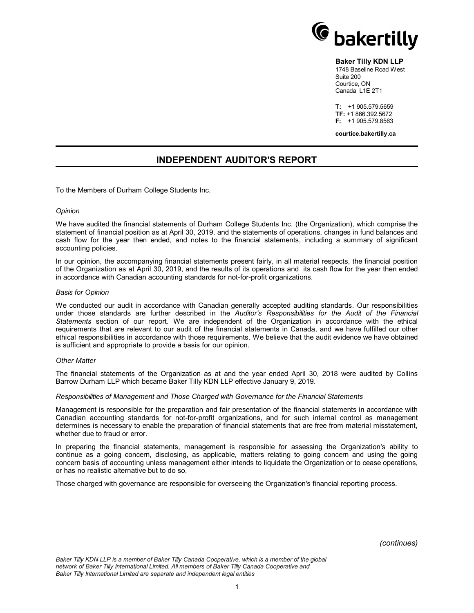

#### **Baker Tilly KDN LLP**

1748 Baseline Road West Suite 200 Courtice, ON Canada L1E 2T1

**T:** +1 905.579.5659 **TF:** +1 866.392.5672 **F:** +1 905.579.8563

**courtice.bakertilly.ca**

# **INDEPENDENT AUDITOR'S REPORT**

To the Members of Durham College Students Inc.

#### *Opinion*

We have audited the financial statements of Durham College Students Inc. (the Organization), which comprise the statement of financial position as at April 30, 2019, and the statements of operations, changes in fund balances and cash flow for the year then ended, and notes to the financial statements, including a summary of significant accounting policies.

In our opinion, the accompanying financial statements present fairly, in all material respects, the financial position of the Organization as at April 30, 2019, and the results of its operations and its cash flow for the year then ended in accordance with Canadian accounting standards for not-for-profit organizations.

#### *Basis for Opinion*

We conducted our audit in accordance with Canadian generally accepted auditing standards. Our responsibilities under those standards are further described in the *Auditor's Responsibilities for the Audit of the Financial Statements* section of our report. We are independent of the Organization in accordance with the ethical requirements that are relevant to our audit of the financial statements in Canada, and we have fulfilled our other ethical responsibilities in accordance with those requirements. We believe that the audit evidence we have obtained is sufficient and appropriate to provide a basis for our opinion.

#### *Other Matter*

The financial statements of the Organization as at and the year ended April 30, 2018 were audited by Collins Barrow Durham LLP which became Baker Tilly KDN LLP effective January 9, 2019.

#### *Responsibilities of Management and Those Charged with Governance for the Financial Statements*

Management is responsible for the preparation and fair presentation of the financial statements in accordance with Canadian accounting standards for not-for-profit organizations, and for such internal control as management determines is necessary to enable the preparation of financial statements that are free from material misstatement, whether due to fraud or error.

In preparing the financial statements, management is responsible for assessing the Organization's ability to continue as a going concern, disclosing, as applicable, matters relating to going concern and using the going concern basis of accounting unless management either intends to liquidate the Organization or to cease operations, or has no realistic alternative but to do so.

Those charged with governance are responsible for overseeing the Organization's financial reporting process.

*(continues)*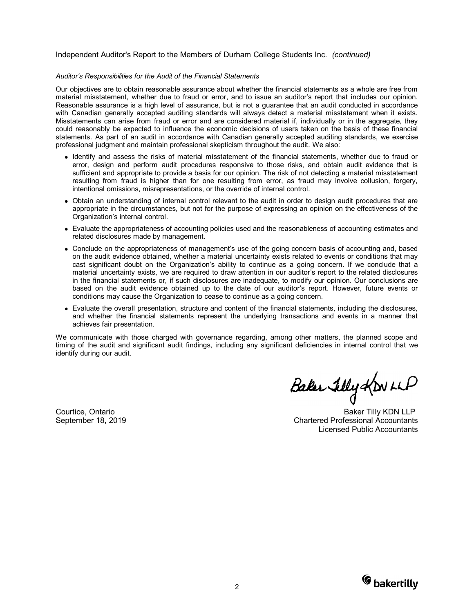#### Independent Auditor's Report to the Members of Durham College Students Inc. *(continued)*

#### *Auditor's Responsibilities for the Audit of the Financial Statements*

Our objectives are to obtain reasonable assurance about whether the financial statements as a whole are free from material misstatement, whether due to fraud or error, and to issue an auditor's report that includes our opinion. Reasonable assurance is a high level of assurance, but is not a guarantee that an audit conducted in accordance with Canadian generally accepted auditing standards will always detect a material misstatement when it exists. Misstatements can arise from fraud or error and are considered material if, individually or in the aggregate, they could reasonably be expected to influence the economic decisions of users taken on the basis of these financial statements. As part of an audit in accordance with Canadian generally accepted auditing standards, we exercise professional judgment and maintain professional skepticism throughout the audit. We also:

- Identify and assess the risks of material misstatement of the financial statements, whether due to fraud or error, design and perform audit procedures responsive to those risks, and obtain audit evidence that is sufficient and appropriate to provide a basis for our opinion. The risk of not detecting a material misstatement resulting from fraud is higher than for one resulting from error, as fraud may involve collusion, forgery, intentional omissions, misrepresentations, or the override of internal control.
- Obtain an understanding of internal control relevant to the audit in order to design audit procedures that are appropriate in the circumstances, but not for the purpose of expressing an opinion on the effectiveness of the Organization's internal control.
- Evaluate the appropriateness of accounting policies used and the reasonableness of accounting estimates and related disclosures made by management.
- Conclude on the appropriateness of management's use of the going concern basis of accounting and, based on the audit evidence obtained, whether a material uncertainty exists related to events or conditions that may cast significant doubt on the Organization's ability to continue as a going concern. If we conclude that a material uncertainty exists, we are required to draw attention in our auditor's report to the related disclosures in the financial statements or, if such disclosures are inadequate, to modify our opinion. Our conclusions are based on the audit evidence obtained up to the date of our auditor's report. However, future events or conditions may cause the Organization to cease to continue as a going concern.
- Evaluate the overall presentation, structure and content of the financial statements, including the disclosures, and whether the financial statements represent the underlying transactions and events in a manner that achieves fair presentation.

We communicate with those charged with governance regarding, among other matters, the planned scope and timing of the audit and significant audit findings, including any significant deficiencies in internal control that we identify during our audit.

Baker Felly KONLLP

Courtice, Ontario **Baker Tilly KDN LLP** September 18, 2019 Chartered Professional Accountants Licensed Public Accountants

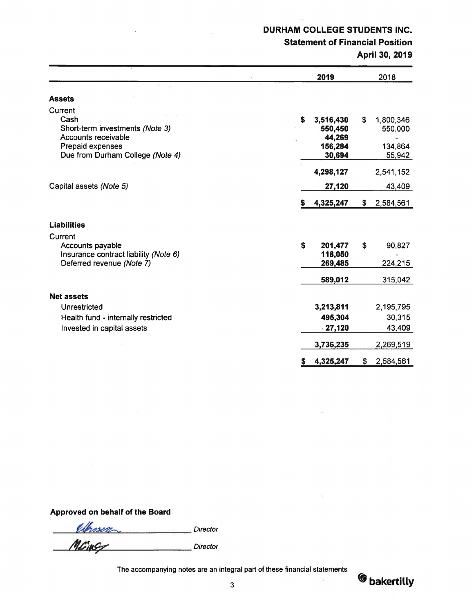# DURHAM COLLEGE STUDENTS INC.

# Statement of Financial Position

April 30, 2019

|                                         |    | 2019              | 2018            |
|-----------------------------------------|----|-------------------|-----------------|
|                                         |    |                   |                 |
| <b>Assets</b>                           |    |                   |                 |
| Current                                 |    |                   |                 |
| Cash                                    | S  | 3,516,430         | \$<br>1,800,346 |
| Short-term investments (Note 3)         |    | 550,450           | 550,000         |
| Accounts receivable<br>Prepaid expenses |    | 44,269<br>156,284 | 134,864         |
| Due from Durham College (Note 4)        |    | 30,694            | 55,942          |
|                                         |    |                   |                 |
|                                         |    | 4,298,127         | 2,541,152       |
| Capital assets (Note 5)                 |    | 27,120            | 43,409          |
|                                         | S. | 4,325,247         | \$<br>2,584,561 |
| <b>Liabilities</b>                      |    |                   |                 |
| Current                                 |    |                   |                 |
| Accounts payable                        | \$ | 201,477           | \$<br>90,827    |
| Insurance contract liability (Note 6)   |    | 118,050           |                 |
| Deferred revenue (Note 7)               |    | 269,485           | 224,215         |
|                                         |    | 589,012           | 315,042         |
| <b>Net assets</b>                       |    |                   |                 |
| Unrestricted                            |    | 3,213,811         | 2,195,795       |
| Health fund - internally restricted     |    | 495,304           | 30,315          |
| Invested in capital assets              |    | $-27,120$         | 43,409          |
|                                         |    | 3,736,235         | 2,269,519       |
|                                         | s  | 4,325,247         | \$<br>2,584,561 |

# Approved on behalf of the Board

elfrasen  $M$ **Director** Director **Director** Director

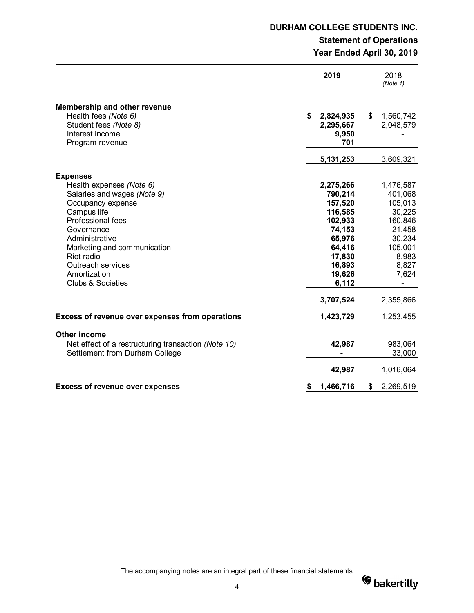# **DURHAM COLLEGE STUDENTS INC.**

# **Statement of Operations Year Ended April 30, 2019**

|                                                                                                                                                                                                                                                                                              | 2019                                                                                                                                    | 2018<br>(Note 1)                                                                                                            |
|----------------------------------------------------------------------------------------------------------------------------------------------------------------------------------------------------------------------------------------------------------------------------------------------|-----------------------------------------------------------------------------------------------------------------------------------------|-----------------------------------------------------------------------------------------------------------------------------|
| <b>Membership and other revenue</b><br>Health fees (Note 6)<br>Student fees (Note 8)<br>Interest income<br>Program revenue                                                                                                                                                                   | \$<br>2,824,935<br>2,295,667<br>9,950<br>701                                                                                            | \$<br>1,560,742<br>2,048,579                                                                                                |
|                                                                                                                                                                                                                                                                                              | 5,131,253                                                                                                                               | 3,609,321                                                                                                                   |
| <b>Expenses</b><br>Health expenses (Note 6)<br>Salaries and wages (Note 9)<br>Occupancy expense<br>Campus life<br><b>Professional fees</b><br>Governance<br>Administrative<br>Marketing and communication<br>Riot radio<br>Outreach services<br>Amortization<br><b>Clubs &amp; Societies</b> | 2,275,266<br>790,214<br>157,520<br>116,585<br>102,933<br>74,153<br>65,976<br>64,416<br>17,830<br>16,893<br>19,626<br>6,112<br>3,707,524 | 1,476,587<br>401,068<br>105,013<br>30,225<br>160,846<br>21,458<br>30,234<br>105,001<br>8,983<br>8,827<br>7,624<br>2,355,866 |
|                                                                                                                                                                                                                                                                                              |                                                                                                                                         |                                                                                                                             |
| Excess of revenue over expenses from operations                                                                                                                                                                                                                                              | 1,423,729                                                                                                                               | 1,253,455                                                                                                                   |
| Other income<br>Net effect of a restructuring transaction (Note 10)<br>Settlement from Durham College                                                                                                                                                                                        | 42,987<br>42,987                                                                                                                        | 983,064<br>33,000<br>1,016,064                                                                                              |
|                                                                                                                                                                                                                                                                                              |                                                                                                                                         |                                                                                                                             |
| <b>Excess of revenue over expenses</b>                                                                                                                                                                                                                                                       | \$<br>1,466,716                                                                                                                         | \$<br>2,269,519                                                                                                             |

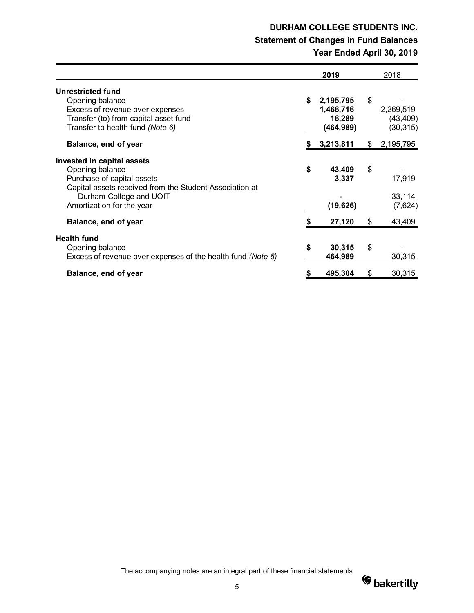# **DURHAM COLLEGE STUDENTS INC. Statement of Changes in Fund Balances Year Ended April 30, 2019**

|                                                                                                                                                                                                | 2019                                                | 2018                                      |
|------------------------------------------------------------------------------------------------------------------------------------------------------------------------------------------------|-----------------------------------------------------|-------------------------------------------|
| Unrestricted fund<br>Opening balance<br>Excess of revenue over expenses<br>Transfer (to) from capital asset fund<br>Transfer to health fund (Note 6)                                           | \$<br>2,195,795<br>1,466,716<br>16,289<br>(464,989) | \$<br>2,269,519<br>(43, 409)<br>(30, 315) |
| Balance, end of year                                                                                                                                                                           | 3,213,811                                           | \$<br>2,195,795                           |
| Invested in capital assets<br>Opening balance<br>Purchase of capital assets<br>Capital assets received from the Student Association at<br>Durham College and UOIT<br>Amortization for the year | \$<br>43,409<br>3,337<br>(19,626)                   | \$<br>17,919<br>33,114<br>(7,624)         |
| Balance, end of year                                                                                                                                                                           | \$<br>27,120                                        | \$<br>43,409                              |
| <b>Health fund</b><br>Opening balance<br>Excess of revenue over expenses of the health fund (Note 6)                                                                                           | \$<br>30,315<br>464,989                             | \$<br>30,315                              |
| Balance, end of year                                                                                                                                                                           | \$<br>495,304                                       | \$<br>30,315                              |

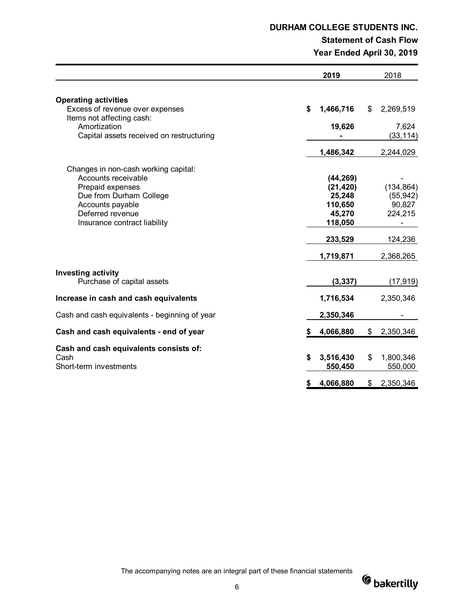# **DURHAM COLLEGE STUDENTS INC.**

# **Statement of Cash Flow**

**Year Ended April 30, 2019**

|                                                                                                                                                                                    |    | 2019                                                                                     | 2018                                                                                   |
|------------------------------------------------------------------------------------------------------------------------------------------------------------------------------------|----|------------------------------------------------------------------------------------------|----------------------------------------------------------------------------------------|
| <b>Operating activities</b><br>Excess of revenue over expenses                                                                                                                     | \$ | 1,466,716                                                                                | \$<br>2,269,519                                                                        |
| Items not affecting cash:<br>Amortization<br>Capital assets received on restructuring                                                                                              |    | 19,626                                                                                   | 7,624<br>(33, 114)                                                                     |
|                                                                                                                                                                                    |    | 1,486,342                                                                                | 2,244,029                                                                              |
| Changes in non-cash working capital:<br>Accounts receivable<br>Prepaid expenses<br>Due from Durham College<br>Accounts payable<br>Deferred revenue<br>Insurance contract liability |    | (44, 269)<br>(21, 420)<br>25,248<br>110,650<br>45,270<br>118,050<br>233,529<br>1,719,871 | (134, 864)<br>(55, 942)<br>90,827<br>224,215<br>$\blacksquare$<br>124,236<br>2,368,265 |
| <b>Investing activity</b><br>Purchase of capital assets                                                                                                                            |    | (3, 337)                                                                                 | (17, 919)                                                                              |
| Increase in cash and cash equivalents                                                                                                                                              |    | 1,716,534                                                                                | 2,350,346                                                                              |
| Cash and cash equivalents - beginning of year                                                                                                                                      |    | 2,350,346                                                                                |                                                                                        |
| Cash and cash equivalents - end of year                                                                                                                                            | S. | 4,066,880                                                                                | \$<br>2,350,346                                                                        |
| Cash and cash equivalents consists of:<br>Cash<br>Short-term investments                                                                                                           | \$ | 3,516,430<br>550,450                                                                     | \$<br>1,800,346<br>550,000                                                             |
|                                                                                                                                                                                    | \$ | 4,066,880                                                                                | \$<br>2,350,346                                                                        |

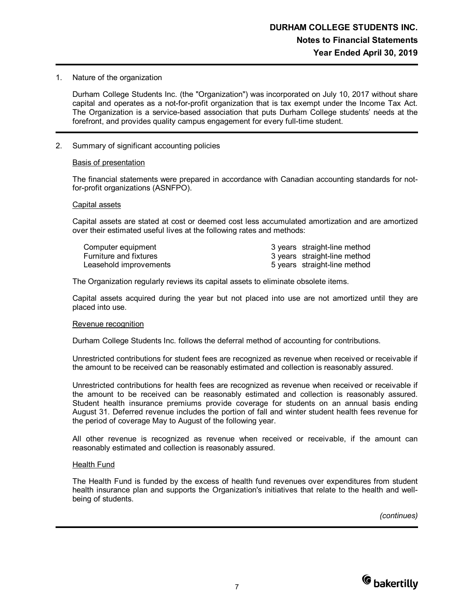1. Nature of the organization

Durham College Students Inc. (the "Organization") was incorporated on July 10, 2017 without share capital and operates as a not-for-profit organization that is tax exempt under the Income Tax Act. The Organization is a service-based association that puts Durham College students' needs at the forefront, and provides quality campus engagement for every full-time student.

2. Summary of significant accounting policies

### Basis of presentation

The financial statements were prepared in accordance with Canadian accounting standards for notfor-profit organizations (ASNFPO).

### Capital assets

Capital assets are stated at cost or deemed cost less accumulated amortization and are amortized over their estimated useful lives at the following rates and methods:

| Computer equipment            | 3 years straight-line method |
|-------------------------------|------------------------------|
| <b>Furniture and fixtures</b> | 3 years straight-line method |
| Leasehold improvements        | 5 years straight-line method |

The Organization regularly reviews its capital assets to eliminate obsolete items.

Capital assets acquired during the year but not placed into use are not amortized until they are placed into use.

#### Revenue recognition

Durham College Students Inc. follows the deferral method of accounting for contributions.

Unrestricted contributions for student fees are recognized as revenue when received or receivable if the amount to be received can be reasonably estimated and collection is reasonably assured.

Unrestricted contributions for health fees are recognized as revenue when received or receivable if the amount to be received can be reasonably estimated and collection is reasonably assured. Student health insurance premiums provide coverage for students on an annual basis ending August 31. Deferred revenue includes the portion of fall and winter student health fees revenue for the period of coverage May to August of the following year.

All other revenue is recognized as revenue when received or receivable, if the amount can reasonably estimated and collection is reasonably assured.

### Health Fund

The Health Fund is funded by the excess of health fund revenues over expenditures from student health insurance plan and supports the Organization's initiatives that relate to the health and wellbeing of students.

*(continues)*

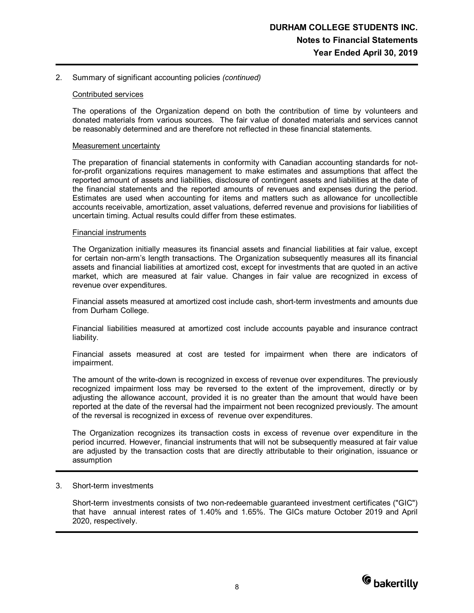## 2. Summary of significant accounting policies *(continued)*

## Contributed services

The operations of the Organization depend on both the contribution of time by volunteers and donated materials from various sources. The fair value of donated materials and services cannot be reasonably determined and are therefore not reflected in these financial statements.

### Measurement uncertainty

The preparation of financial statements in conformity with Canadian accounting standards for notfor-profit organizations requires management to make estimates and assumptions that affect the reported amount of assets and liabilities, disclosure of contingent assets and liabilities at the date of the financial statements and the reported amounts of revenues and expenses during the period. Estimates are used when accounting for items and matters such as allowance for uncollectible accounts receivable, amortization, asset valuations, deferred revenue and provisions for liabilities of uncertain timing. Actual results could differ from these estimates.

### Financial instruments

The Organization initially measures its financial assets and financial liabilities at fair value, except for certain non-arm's length transactions. The Organization subsequently measures all its financial assets and financial liabilities at amortized cost, except for investments that are quoted in an active market, which are measured at fair value. Changes in fair value are recognized in excess of revenue over expenditures.

Financial assets measured at amortized cost include cash, short-term investments and amounts due from Durham College.

Financial liabilities measured at amortized cost include accounts payable and insurance contract liability.

Financial assets measured at cost are tested for impairment when there are indicators of impairment.

The amount of the write-down is recognized in excess of revenue over expenditures. The previously recognized impairment loss may be reversed to the extent of the improvement, directly or by adjusting the allowance account, provided it is no greater than the amount that would have been reported at the date of the reversal had the impairment not been recognized previously. The amount of the reversal is recognized in excess of revenue over expenditures.

The Organization recognizes its transaction costs in excess of revenue over expenditure in the period incurred. However, financial instruments that will not be subsequently measured at fair value are adjusted by the transaction costs that are directly attributable to their origination, issuance or assumption

### 3. Short-term investments

Short-term investments consists of two non-redeemable guaranteed investment certificates ("GIC") that have annual interest rates of 1.40% and 1.65%. The GICs mature October 2019 and April 2020, respectively.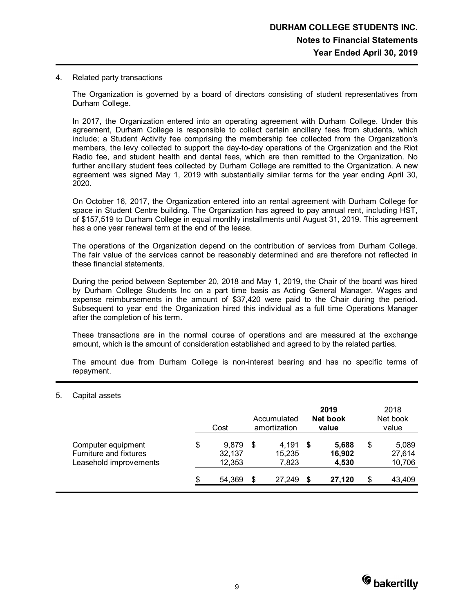4. Related party transactions

The Organization is governed by a board of directors consisting of student representatives from Durham College.

In 2017, the Organization entered into an operating agreement with Durham College. Under this agreement, Durham College is responsible to collect certain ancillary fees from students, which include; a Student Activity fee comprising the membership fee collected from the Organization's members, the levy collected to support the day-to-day operations of the Organization and the Riot Radio fee, and student health and dental fees, which are then remitted to the Organization. No further ancillary student fees collected by Durham College are remitted to the Organization. A new agreement was signed May 1, 2019 with substantially similar terms for the year ending April 30, 2020.

On October 16, 2017, the Organization entered into an rental agreement with Durham College for space in Student Centre building. The Organization has agreed to pay annual rent, including HST, of \$157,519 to Durham College in equal monthly installments until August 31, 2019. This agreement has a one year renewal term at the end of the lease.

The operations of the Organization depend on the contribution of services from Durham College. The fair value of the services cannot be reasonably determined and are therefore not reflected in these financial statements.

During the period between September 20, 2018 and May 1, 2019, the Chair of the board was hired by Durham College Students Inc on a part time basis as Acting General Manager. Wages and expense reimbursements in the amount of \$37,420 were paid to the Chair during the period. Subsequent to year end the Organization hired this individual as a full time Operations Manager after the completion of his term.

These transactions are in the normal course of operations and are measured at the exchange amount, which is the amount of consideration established and agreed to by the related parties.

The amount due from Durham College is non-interest bearing and has no specific terms of repayment.

### 5. Capital assets

|                                                                        | Cost                            |    | Accumulated<br>amortization | 2019<br>Net book<br>value | 2018<br>Net book<br>value       |
|------------------------------------------------------------------------|---------------------------------|----|-----------------------------|---------------------------|---------------------------------|
| Computer equipment<br>Furniture and fixtures<br>Leasehold improvements | \$<br>9,879<br>32,137<br>12,353 | \$ | 4,191<br>15,235<br>7,823    | 5,688<br>16,902<br>4,530  | \$<br>5,089<br>27,614<br>10,706 |
|                                                                        | 54,369                          | S  | 27,249                      | 27.120                    | \$<br>43,409                    |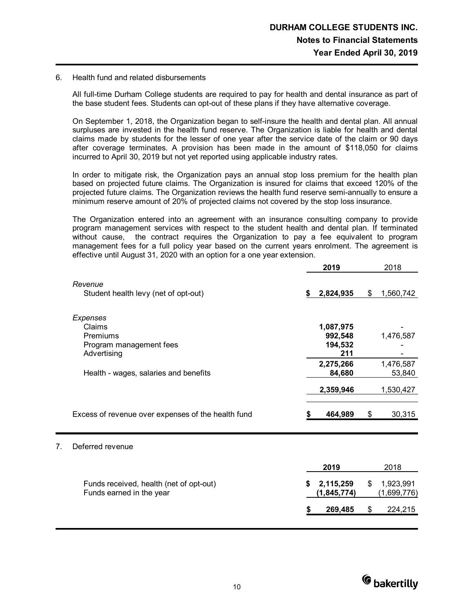## 6. Health fund and related disbursements

All full-time Durham College students are required to pay for health and dental insurance as part of the base student fees. Students can opt-out of these plans if they have alternative coverage.

On September 1, 2018, the Organization began to self-insure the health and dental plan. All annual surpluses are invested in the health fund reserve. The Organization is liable for health and dental claims made by students for the lesser of one year after the service date of the claim or 90 days after coverage terminates. A provision has been made in the amount of \$118,050 for claims incurred to April 30, 2019 but not yet reported using applicable industry rates.

In order to mitigate risk, the Organization pays an annual stop loss premium for the health plan based on projected future claims. The Organization is insured for claims that exceed 120% of the projected future claims. The Organization reviews the health fund reserve semi-annually to ensure a minimum reserve amount of 20% of projected claims not covered by the stop loss insurance.

The Organization entered into an agreement with an insurance consulting company to provide program management services with respect to the student health and dental plan. If terminated without cause, the contract requires the Organization to pay a fee equivalent to program management fees for a full policy year based on the current years enrolment. The agreement is effective until August 31, 2020 with an option for a one year extension.

|    |                                                                          | 2019                                                | 2018                           |
|----|--------------------------------------------------------------------------|-----------------------------------------------------|--------------------------------|
|    | Revenue<br>Student health levy (net of opt-out)                          | 2,824,935                                           | \$<br>1,560,742                |
|    | Expenses<br>Claims<br>Premiums<br>Program management fees<br>Advertising | 1,087,975<br>992,548<br>194,532<br>211<br>2,275,266 | 1,476,587<br>1,476,587         |
|    | Health - wages, salaries and benefits                                    | 84,680                                              | 53,840                         |
|    |                                                                          | 2,359,946                                           | 1,530,427                      |
|    | Excess of revenue over expenses of the health fund                       | 464,989                                             | \$<br>30,315                   |
| 7. | Deferred revenue                                                         |                                                     |                                |
|    |                                                                          | 2019                                                | 2018                           |
|    | Funds received, health (net of opt-out)<br>Funds earned in the year      | 2,115,259<br>(1, 845, 774)                          | \$<br>1,923,991<br>(1,699,776) |
|    |                                                                          | 269,485                                             | \$<br>224,215                  |
|    |                                                                          |                                                     |                                |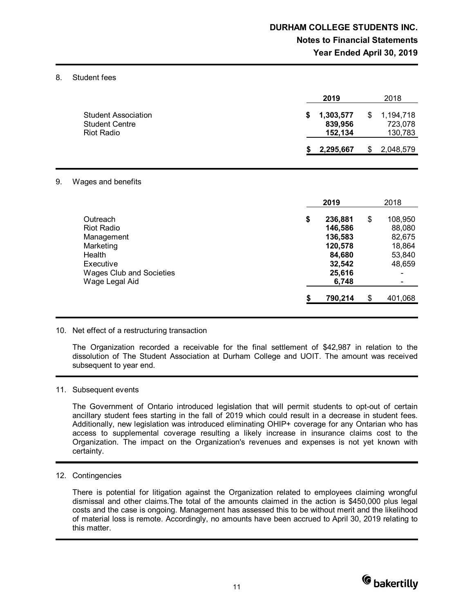#### 8. Student fees

|                                                                   | 2019                                 | 2018                                  |
|-------------------------------------------------------------------|--------------------------------------|---------------------------------------|
| <b>Student Association</b><br><b>Student Centre</b><br>Riot Radio | 1,303,577<br>S<br>839,956<br>152.134 | \$<br>1,194,718<br>723.078<br>130,783 |
|                                                                   | 2,295,667                            | 2,048,579                             |

#### 9. Wages and benefits

|                                                                                                                                      | 2019                                                                                  | 2018                                                            |
|--------------------------------------------------------------------------------------------------------------------------------------|---------------------------------------------------------------------------------------|-----------------------------------------------------------------|
| Outreach<br><b>Riot Radio</b><br>Management<br>Marketing<br>Health<br>Executive<br><b>Wages Club and Societies</b><br>Wage Legal Aid | \$<br>236,881<br>146,586<br>136,583<br>120,578<br>84,680<br>32,542<br>25,616<br>6,748 | \$<br>108,950<br>88,080<br>82,675<br>18,864<br>53,840<br>48,659 |
|                                                                                                                                      | \$<br>790,214                                                                         | \$<br>401,068                                                   |

### 10. Net effect of a restructuring transaction

The Organization recorded a receivable for the final settlement of \$42,987 in relation to the dissolution of The Student Association at Durham College and UOIT. The amount was received subsequent to year end.

#### 11. Subsequent events

The Government of Ontario introduced legislation that will permit students to opt-out of certain ancillary student fees starting in the fall of 2019 which could result in a decrease in student fees. Additionally, new legislation was introduced eliminating OHIP+ coverage for any Ontarian who has access to supplemental coverage resulting a likely increase in insurance claims cost to the Organization. The impact on the Organization's revenues and expenses is not yet known with certainty.

#### 12. Contingencies

There is potential for litigation against the Organization related to employees claiming wrongful dismissal and other claims.The total of the amounts claimed in the action is \$450,000 plus legal costs and the case is ongoing. Management has assessed this to be without merit and the likelihood of material loss is remote. Accordingly, no amounts have been accrued to April 30, 2019 relating to this matter.